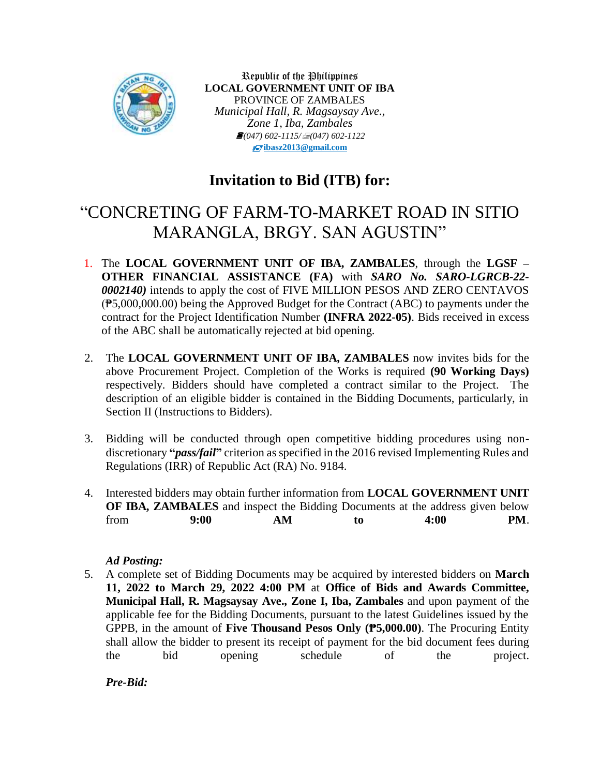

Republic of the Philippines **LOCAL GOVERNMENT UNIT OF IBA** PROVINCE OF ZAMBALES *Municipal Hall, R. Magsaysay Ave., Zone 1, Iba, Zambales (047) 602-1115/(047) 602-1122* **[ibasz2013@gmail.com](mailto:ibasz2013@gmail.com)**

# **Invitation to Bid (ITB) for:**

# "CONCRETING OF FARM-TO-MARKET ROAD IN SITIO MARANGLA, BRGY. SAN AGUSTIN"

- 1. The **LOCAL GOVERNMENT UNIT OF IBA, ZAMBALES**, through the **LGSF – OTHER FINANCIAL ASSISTANCE (FA)** with *SARO No. SARO-LGRCB-22- 0002140)* intends to apply the cost of FIVE MILLION PESOS AND ZERO CENTAVOS (₱5,000,000.00) being the Approved Budget for the Contract (ABC) to payments under the contract for the Project Identification Number **(INFRA 2022-05)**. Bids received in excess of the ABC shall be automatically rejected at bid opening.
- 2. The **LOCAL GOVERNMENT UNIT OF IBA, ZAMBALES** now invites bids for the above Procurement Project. Completion of the Works is required **(90 Working Days)** respectively. Bidders should have completed a contract similar to the Project. The description of an eligible bidder is contained in the Bidding Documents, particularly, in Section II (Instructions to Bidders).
- 3. Bidding will be conducted through open competitive bidding procedures using nondiscretionary **"***pass/fail***"** criterion as specified in the 2016 revised Implementing Rules and Regulations (IRR) of Republic Act (RA) No. 9184.
- 4. Interested bidders may obtain further information from **LOCAL GOVERNMENT UNIT OF IBA, ZAMBALES** and inspect the Bidding Documents at the address given below from **9:00 AM to 4:00 PM**.

## *Ad Posting:*

5. A complete set of Bidding Documents may be acquired by interested bidders on **March 11, 2022 to March 29, 2022 4:00 PM** at **Office of Bids and Awards Committee, Municipal Hall, R. Magsaysay Ave., Zone I, Iba, Zambales** and upon payment of the applicable fee for the Bidding Documents, pursuant to the latest Guidelines issued by the GPPB, in the amount of **Five Thousand Pesos Only (₱5,000.00)**. The Procuring Entity shall allow the bidder to present its receipt of payment for the bid document fees during the bid opening schedule of the project.

*Pre-Bid:*